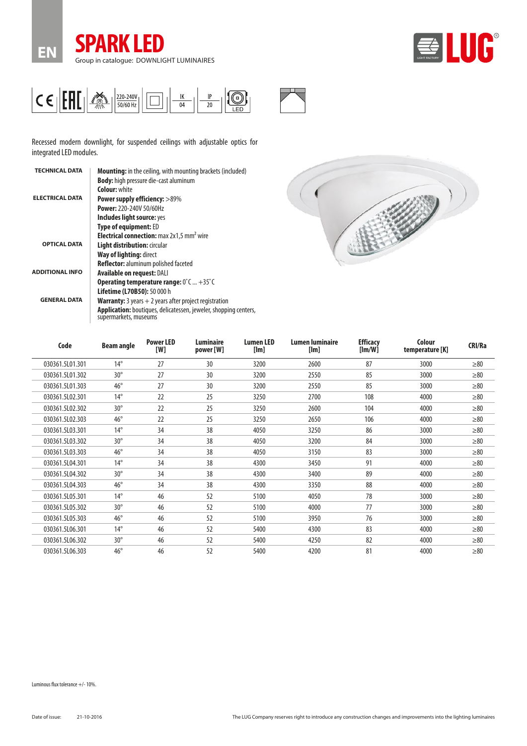





Recessed modern downlight, for suspended ceilings with adjustable optics for integrated LED modules.

| <b>TECHNICAL DATA</b>  | <b>Mounting:</b> in the ceiling, with mounting brackets (included)<br><b>Body:</b> high pressure die-cast aluminum                                          |
|------------------------|-------------------------------------------------------------------------------------------------------------------------------------------------------------|
|                        | <b>Colour: white</b>                                                                                                                                        |
| <b>ELECTRICAL DATA</b> | <b>Power supply efficiency: &gt;89%</b>                                                                                                                     |
|                        | <b>Power: 220-240V 50/60Hz</b>                                                                                                                              |
|                        | Includes light source: yes                                                                                                                                  |
|                        | <b>Type of equipment: ED</b>                                                                                                                                |
|                        | <b>Electrical connection:</b> max 2x1.5 mm <sup>2</sup> wire                                                                                                |
| <b>OPTICAL DATA</b>    | <b>Light distribution: circular</b>                                                                                                                         |
|                        | Way of lighting: direct                                                                                                                                     |
|                        | Reflector: aluminum polished faceted                                                                                                                        |
| <b>ADDITIONAL INFO</b> | <b>Available on request: DALI</b>                                                                                                                           |
|                        | <b>Operating temperature range:</b> $0^{\circ}$ C  +35 $^{\circ}$ C                                                                                         |
|                        | <b>Lifetime (L70B50):</b> 50 000 h                                                                                                                          |
| <b>GENERAL DATA</b>    | <b>Warranty:</b> 3 years $+2$ years after project registration<br>Application: boutiques, delicatessen, jeweler, shopping centers,<br>supermarkets, museums |
|                        |                                                                                                                                                             |



| Code            | <b>Beam angle</b> | <b>Power LED</b><br>[W] | Luminaire<br>power [W] | <b>Lumen LED</b><br>[Im] | Lumen luminaire<br>[Im] | <b>Efficacy</b><br>[Im/W] | Colour<br>temperature [K] | CRI/Ra    |
|-----------------|-------------------|-------------------------|------------------------|--------------------------|-------------------------|---------------------------|---------------------------|-----------|
| 030361.5L01.301 | $14^{\circ}$      | 27                      | 30                     | 3200                     | 2600                    | 87                        | 3000                      | $\geq 80$ |
| 030361.5L01.302 | $30^\circ$        | 27                      | 30                     | 3200                     | 2550                    | 85                        | 3000                      | $\geq 80$ |
| 030361.5L01.303 | $46^{\circ}$      | 27                      | 30                     | 3200                     | 2550                    | 85                        | 3000                      | $\geq 80$ |
| 030361.5L02.301 | $14^{\circ}$      | 22                      | 25                     | 3250                     | 2700                    | 108                       | 4000                      | $\geq 80$ |
| 030361.5L02.302 | $30^\circ$        | 22                      | 25                     | 3250                     | 2600                    | 104                       | 4000                      | $\geq 80$ |
| 030361.5L02.303 | $46^{\circ}$      | 22                      | 25                     | 3250                     | 2650                    | 106                       | 4000                      | $\geq 80$ |
| 030361.5L03.301 | $14^{\circ}$      | 34                      | 38                     | 4050                     | 3250                    | 86                        | 3000                      | $\geq 80$ |
| 030361.5L03.302 | $30^\circ$        | 34                      | 38                     | 4050                     | 3200                    | 84                        | 3000                      | $\geq 80$ |
| 030361.5L03.303 | $46^{\circ}$      | 34                      | 38                     | 4050                     | 3150                    | 83                        | 3000                      | $\geq 80$ |
| 030361.5L04.301 | $14^{\circ}$      | 34                      | 38                     | 4300                     | 3450                    | 91                        | 4000                      | $\geq 80$ |
| 030361.5L04.302 | $30^\circ$        | 34                      | 38                     | 4300                     | 3400                    | 89                        | 4000                      | $\geq 80$ |
| 030361.5L04.303 | $46^{\circ}$      | 34                      | 38                     | 4300                     | 3350                    | 88                        | 4000                      | $\geq 80$ |
| 030361.5L05.301 | $14^{\circ}$      | 46                      | 52                     | 5100                     | 4050                    | 78                        | 3000                      | $\geq 80$ |
| 030361.5L05.302 | $30^\circ$        | 46                      | 52                     | 5100                     | 4000                    | 77                        | 3000                      | $\geq 80$ |
| 030361.5L05.303 | $46^{\circ}$      | 46                      | 52                     | 5100                     | 3950                    | 76                        | 3000                      | $\geq 80$ |
| 030361.5L06.301 | $14^{\circ}$      | 46                      | 52                     | 5400                     | 4300                    | 83                        | 4000                      | $\geq 80$ |
| 030361.5L06.302 | $30^\circ$        | 46                      | 52                     | 5400                     | 4250                    | 82                        | 4000                      | $\geq 80$ |
| 030361.5L06.303 | $46^{\circ}$      | 46                      | 52                     | 5400                     | 4200                    | 81                        | 4000                      | $\geq 80$ |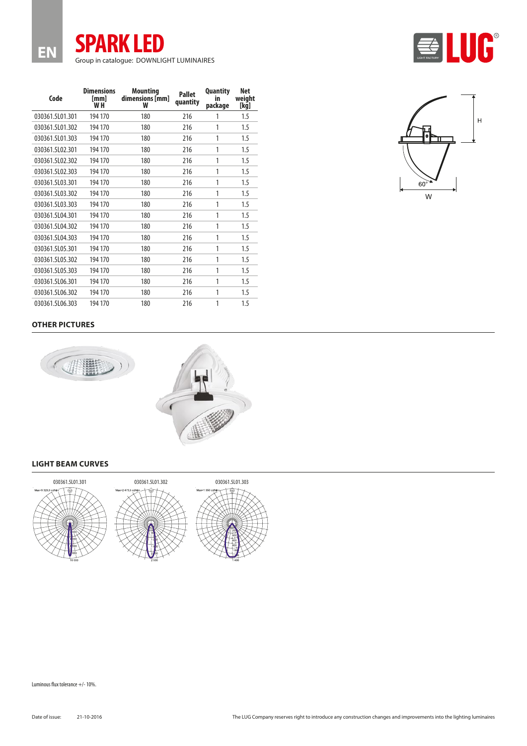Luminous flux tolerance +/- 10%.

| EN<br>Group in catalogue: DOWNLIGHT LUMINAIRES |                                             |                                         |                           |                                  |                       |  |  |  |  |  |  |
|------------------------------------------------|---------------------------------------------|-----------------------------------------|---------------------------|----------------------------------|-----------------------|--|--|--|--|--|--|
| Code                                           | <b>Dimensions</b><br>[mm]<br>W <sub>H</sub> | <b>Mounting</b><br>dimensions [mm]<br>W | <b>Pallet</b><br>quantity | <b>Quantity</b><br>in<br>package | Net<br>weight<br>[kg] |  |  |  |  |  |  |
| 030361.5L01.301                                | 194 170                                     | 180                                     | 216                       | 1                                | 1.5                   |  |  |  |  |  |  |
| 030361.5L01.302                                | 194 170                                     | 180                                     | 216                       | 1                                | 1.5                   |  |  |  |  |  |  |
| 030361.5L01.303                                | 194 170                                     | 180                                     | 216                       | 1                                | 1.5                   |  |  |  |  |  |  |
| 030361.5L02.301                                | 194 170                                     | 180                                     | 216                       | 1                                | 1.5                   |  |  |  |  |  |  |
| 030361.5L02.302                                | 194 170                                     | 180                                     | 216                       | 1                                | 1.5                   |  |  |  |  |  |  |
| 030361.5L02.303                                | 194 170                                     | 180                                     | 216                       | 1                                | 1.5                   |  |  |  |  |  |  |
| 030361.5L03.301                                | 194 170                                     | 180                                     | 216                       | 1                                | 1.5                   |  |  |  |  |  |  |
| 030361.5L03.302                                | 194 170                                     | 180                                     | 216                       | 1                                | 1.5                   |  |  |  |  |  |  |
| 030361.5L03.303                                | 194 170                                     | 180                                     | 216                       | 1                                | 1.5                   |  |  |  |  |  |  |
| 030361.5L04.301                                | 194 170                                     | 180                                     | 216                       | 1                                | 1.5                   |  |  |  |  |  |  |
| 030361.5L04.302                                | 194 170                                     | 180                                     | 216                       | 1                                | 1.5                   |  |  |  |  |  |  |
| 030361.5L04.303                                | 194 170                                     | 180                                     | 216                       | 1                                | 1.5                   |  |  |  |  |  |  |
| 030361.5L05.301                                | 194 170                                     | 180                                     | 216                       | 1                                | 1.5                   |  |  |  |  |  |  |
| 030361.5L05.302                                | 194 170                                     | 180                                     | 216                       | 1                                | 1.5                   |  |  |  |  |  |  |
| 030361.5L05.303                                | 194 170                                     | 180                                     | 216                       | 1                                | 1.5                   |  |  |  |  |  |  |
| 030361.5L06.301                                | 194 170                                     | 180                                     | 216                       | 1                                | 1.5                   |  |  |  |  |  |  |

**SPARK LED**





030361.5L06.302 194 170 180 216 1 1.5 030361.5L06.303 194 170 180 216 1 1.5

## **LIGHT BEAM CURVES**